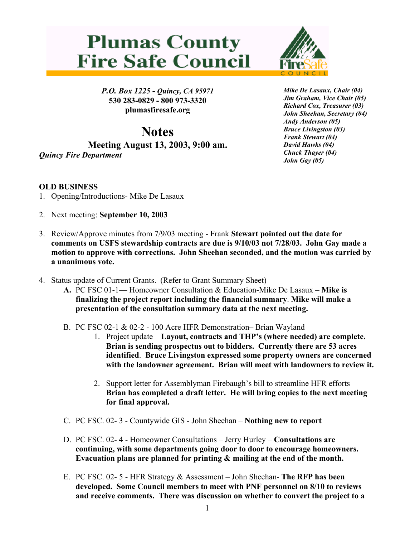## **Plumas County Fire Safe Council**



*P.O. Box 1225 - Quincy, CA 95971*  **530 283-0829 - 800 973-3320 plumasfiresafe.org** 

**Notes Meeting August 13, 2003, 9:00 am.**  *Quincy Fire Department*

*Mike De Lasaux, Chair (04) Jim Graham, Vice Chair (05) Richard Cox, Treasurer (03) John Sheehan, Secretary (04) Andy Anderson (05) Bruce Livingston (03) Frank Stewart (04) David Hawks (04) Chuck Thayer (04) John Gay (05)*

## **OLD BUSINESS**

- 1. Opening/Introductions- Mike De Lasaux
- 2. Next meeting: **September 10, 2003**
- 3. Review/Approve minutes from 7/9/03 meeting Frank **Stewart pointed out the date for comments on USFS stewardship contracts are due is 9/10/03 not 7/28/03. John Gay made a motion to approve with corrections. John Sheehan seconded, and the motion was carried by a unanimous vote.**
- 4. Status update of Current Grants. (Refer to Grant Summary Sheet)
	- **A.** PC FSC 01-1— Homeowner Consultation & Education-Mike De Lasaux **Mike is finalizing the project report including the financial summary**. **Mike will make a presentation of the consultation summary data at the next meeting.**
	- B. PC FSC 02-1 & 02-2 100 Acre HFR Demonstration– Brian Wayland
		- 1. Project update **Layout, contracts and THP's (where needed) are complete. Brian is sending prospectus out to bidders. Currently there are 53 acres identified**. **Bruce Livingston expressed some property owners are concerned with the landowner agreement. Brian will meet with landowners to review it.**
		- 2. Support letter for Assemblyman Firebaugh's bill to streamline HFR efforts **Brian has completed a draft letter. He will bring copies to the next meeting for final approval.**
	- C. PC FSC. 02- 3 Countywide GIS John Sheehan **Nothing new to report**
	- D. PC FSC. 02- 4 Homeowner Consultations Jerry Hurley **Consultations are continuing, with some departments going door to door to encourage homeowners. Evacuation plans are planned for printing & mailing at the end of the month.**
	- E. PC FSC. 02- 5 HFR Strategy & Assessment John Sheehan- **The RFP has been developed. Some Council members to meet with PNF personnel on 8/10 to reviews and receive comments. There was discussion on whether to convert the project to a**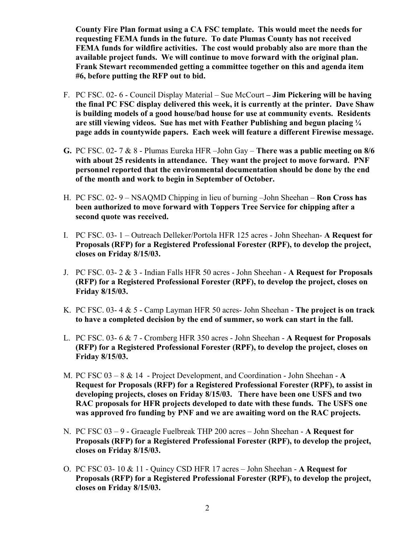**County Fire Plan format using a CA FSC template. This would meet the needs for requesting FEMA funds in the future. To date Plumas County has not received FEMA funds for wildfire activities. The cost would probably also are more than the available project funds. We will continue to move forward with the original plan. Frank Stewart recommended getting a committee together on this and agenda item #6, before putting the RFP out to bid.**

- F. PC FSC. 02- 6 Council Display Material Sue McCourt  **Jim Pickering will be having the final PC FSC display delivered this week, it is currently at the printer. Dave Shaw is building models of a good house/bad house for use at community events. Residents are still viewing videos. Sue has met with Feather Publishing and begun placing ¼ page adds in countywide papers. Each week will feature a different Firewise message.**
- **G.** PC FSC. 02- 7 & 8 Plumas Eureka HFR –John Gay **There was a public meeting on 8/6 with about 25 residents in attendance. They want the project to move forward. PNF personnel reported that the environmental documentation should be done by the end of the month and work to begin in September of October.**
- H. PC FSC. 02- 9 NSAQMD Chipping in lieu of burning –John Sheehan **Ron Cross has been authorized to move forward with Toppers Tree Service for chipping after a second quote was received.**
- I. PC FSC. 03- 1 Outreach Delleker/Portola HFR 125 acres John Sheehan- **A Request for Proposals (RFP) for a Registered Professional Forester (RPF), to develop the project, closes on Friday 8/15/03.**
- J. PC FSC. 03- 2 & 3 Indian Falls HFR 50 acres John Sheehan **A Request for Proposals (RFP) for a Registered Professional Forester (RPF), to develop the project, closes on Friday 8/15/03.**
- K. PC FSC. 03- 4 & 5 Camp Layman HFR 50 acres- John Sheehan **The project is on track to have a completed decision by the end of summer, so work can start in the fall.**
- L. PC FSC. 03- 6 & 7 Cromberg HFR 350 acres John Sheehan **A Request for Proposals (RFP) for a Registered Professional Forester (RPF), to develop the project, closes on Friday 8/15/03.**
- M. PC FSC 03 8 & 14 Project Development, and Coordination John Sheehan - **A Request for Proposals (RFP) for a Registered Professional Forester (RPF), to assist in developing projects, closes on Friday 8/15/03. There have been one USFS and two RAC proposals for HFR projects developed to date with these funds. The USFS one was approved fro funding by PNF and we are awaiting word on the RAC projects.**
- N. PC FSC 03 9 Graeagle Fuelbreak THP 200 acres John Sheehan **A Request for Proposals (RFP) for a Registered Professional Forester (RPF), to develop the project, closes on Friday 8/15/03.**
- O. PC FSC 03- 10 & 11 Quincy CSD HFR 17 acres John Sheehan - **A Request for Proposals (RFP) for a Registered Professional Forester (RPF), to develop the project, closes on Friday 8/15/03.**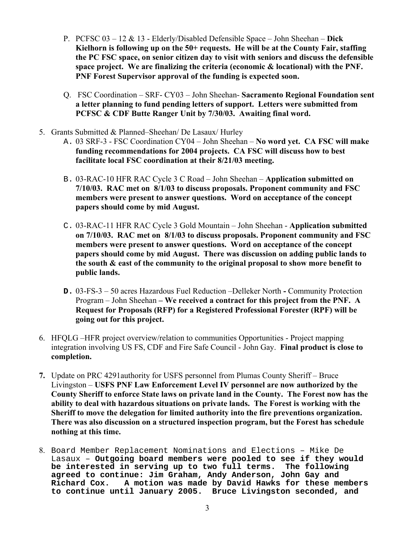- P. PCFSC 03 12 & 13 Elderly/Disabled Defensible Space John Sheehan **Dick Kielhorn is following up on the 50+ requests. He will be at the County Fair, staffing the PC FSC space, on senior citizen day to visit with seniors and discuss the defensible space project. We are finalizing the criteria (economic & locational) with the PNF. PNF Forest Supervisor approval of the funding is expected soon.**
- Q. FSC Coordination SRF- CY03 John Sheehan- **Sacramento Regional Foundation sent a letter planning to fund pending letters of support. Letters were submitted from PCFSC & CDF Butte Ranger Unit by 7/30/03. Awaiting final word.**
- 5. Grants Submitted & Planned–Sheehan/ De Lasaux/ Hurley
	- A. 03 SRF-3 FSC Coordination CY04 John Sheehan **No word yet. CA FSC will make funding recommendations for 2004 projects. CA FSC will discuss how to best facilitate local FSC coordination at their 8/21/03 meeting.**
	- B. 03-RAC-10 HFR RAC Cycle 3 C Road John Sheehan **Application submitted on 7/10/03. RAC met on 8/1/03 to discuss proposals. Proponent community and FSC members were present to answer questions. Word on acceptance of the concept papers should come by mid August.**
	- C. 03-RAC-11 HFR RAC Cycle 3 Gold Mountain John Sheehan **Application submitted on 7/10/03. RAC met on 8/1/03 to discuss proposals. Proponent community and FSC members were present to answer questions. Word on acceptance of the concept papers should come by mid August. There was discussion on adding public lands to the south & east of the community to the original proposal to show more benefit to public lands.**
	- **D.** 03-FS-3 50 acres Hazardous Fuel Reduction –Delleker North **-** Community Protection Program – John Sheehan **– We received a contract for this project from the PNF. A Request for Proposals (RFP) for a Registered Professional Forester (RPF) will be going out for this project.**
- 6. HFQLG –HFR project overview/relation to communities Opportunities Project mapping integration involving US FS, CDF and Fire Safe Council - John Gay. **Final product is close to completion.**
- **7.** Update on PRC 4291authority for USFS personnel from Plumas County Sheriff Bruce Livingston – **USFS PNF Law Enforcement Level IV personnel are now authorized by the County Sheriff to enforce State laws on private land in the County. The Forest now has the ability to deal with hazardous situations on private lands. The Forest is working with the Sheriff to move the delegation for limited authority into the fire preventions organization. There was also discussion on a structured inspection program, but the Forest has schedule nothing at this time.**
- 8. Board Member Replacement Nominations and Elections Mike De Lasaux – **Outgoing board members were pooled to see if they would be interested in serving up to two full terms. The following agreed to continue: Jim Graham, Andy Anderson, John Gay and Richard Cox. A motion was made by David Hawks for these members to continue until January 2005. Bruce Livingston seconded, and**